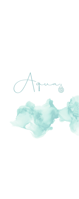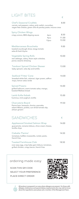# LIGHT BITES

|                                                                                                                                                  |                                               | €                      |
|--------------------------------------------------------------------------------------------------------------------------------------------------|-----------------------------------------------|------------------------|
| Chef's Seasonal Crudités<br>carrots, red peppers, celery, pink radish, cucumber,<br>vegan feta cheese, green olive & parsley paste, mizuna cress |                                               | 8.00                   |
|                                                                                                                                                  |                                               |                        |
| <b>Spicy Chicken Wings</b><br>crispy onions, BBQ dipping sauce                                                                                   | 6 <sub>pcs</sub><br>9 <sub>pcs</sub><br>12pcs | 8.50<br>11.00<br>13.50 |
| Mediterranean Bruschetta<br>toasted sourdough slices, tangy tomato<br>salsa & fresh thyme                                                        |                                               | 9.00                   |
| <b>Vegetable Spring Rolls</b><br>red cabbage, celery, Asian style coleslaw,<br>ponzu sesame dressing                                             |                                               | 10.00                  |
| <b>Tandoori Spiced Chicken Skewer</b><br>baby spinach, raita dip and tortilla                                                                    |                                               | 13.00                  |
| Seafood 'Frites' Cone<br>breaded white fish, calamari, tiger prawn, saffron<br>mayo, lemon salsa verde                                           |                                               | 14.00                  |
| <b>Spiced Prawns</b><br>grilled halloumi, warm tomato salsa, mango,<br>toasted Maltese bread                                                     |                                               | 14.00                  |
| Lamb Kofta Kebab<br>hummus, mint yoghurt, tortilla                                                                                               |                                               | 15.00                  |
| Charcuterie Board<br>Parma ham, bresaola, chorizo, pancetta,<br>salami Milano, pickles, sun-dried tomato dip,<br>artisan grissini                |                                               | 19.50                  |
| <b>SANDWICHES</b>                                                                                                                                |                                               | €                      |
| <b>Applewood Smoked Salmon Wrap</b><br>quacamole, romaine lettuce, chive cream cheese,<br>tortilla chips                                         |                                               | 14.00                  |
| Ciabatta 'Panino'<br>tomatoes, buffalo mozzarella, rocket, pesto,<br>french fries                                                                |                                               | 14.50                  |
| <b>Toasted Farmhouse Club</b>                                                                                                                    |                                               | 18.50                  |

over easy egg, crisp baby gem lettuce, tomatoes, grilled chicken, crispy bacon, french fries

ordering made easy

SCAN THIS QR CODE SELECT YOUR PREFERENCE PLACE DIRECT ORDER

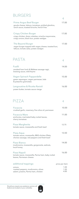# BURGERS

|                                                                                                                                    | €     |
|------------------------------------------------------------------------------------------------------------------------------------|-------|
| <b>Prime Angus Beef Burger</b><br>gouda cheese, lettuce, tomatoes, pickled gherkins,<br>ranch sauce, toasted brioche, french fries | 17.00 |
| <b>Crispy Chicken Burger</b><br>crispy chicken, Asian coleslaw, sriracha mayonnaise,<br>crispy onions, black bun, potato wedges    | 17.00 |
| The Beyond Burger<br>vegan burger topped with vegan cheese, toasted bun,<br>lettuce, tomato salsa, potato wedges                   | 17.00 |
| <b>PASTA</b>                                                                                                                       | €     |
| Fusilli<br>smoked ham hock & Maltese sausage ragù,<br>braising sauce, wild thyme                                                   | 14.00 |
| Vegan Spinach Pappardelle<br>green asparagus, vegan parmesan, kale<br>& pistachio gremolata                                        | 15.00 |
| Langoustine & Ricotta Ravioli                                                                                                      | 16.00 |

prawn butter, tomato sauce vierge

| PIZZA                                                                                                        | €              |
|--------------------------------------------------------------------------------------------------------------|----------------|
| Focaccia<br>crushed garlic, rosemary, fine olive oil, parmesan                                               | 10.00          |
| Focaccia Mare<br>anchovies, marinated baby rocket leaves,<br>cherry tomatoes                                 | 11.00          |
| Pizza Margherita<br>tomato sauce, mozzarella and fresh basil                                                 | 12.75          |
| Pizza Aqua<br>tomato sauce, mozzarella, BBQ chicken fillets,<br>chorizo sausage, red peppers and fresh basil | 13.50          |
| Pizza Bianca<br>mushrooms, mozzarella, gorgonzola, walnuts,<br>local honey                                   | 14.00          |
| Pizza Napoli<br>tomato sauce, mozzarella, Parma ham, baby rocket<br>leaves, Parmesan cheese                  | 16.00          |
| additional toppings:                                                                                         | price per item |
| onions                                                                                                       | 1.00           |

| onions                             | 1.00 |
|------------------------------------|------|
| roasted peppers, mushrooms, olives | 1.50 |
| salami, prawns, Parma ham, chicken | 4.00 |

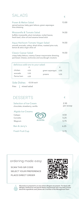# SALADS  $\qquad \qquad \epsilon$

| Prawn & Melon Salad<br>spiced quinoa, baby gem lettuce, green asparagus<br>lime dressing                                                    | 13.00 |
|---------------------------------------------------------------------------------------------------------------------------------------------|-------|
| Mozzarella & Tomato Salad<br>buffalo mozzarella, plum tomatoes, rocket leaves,<br>fresh basil, olive oil and sesame bread stick             | 14.50 |
| Aqua Heirloom Tomato Vegan Salad<br>smooth avocado, celery, dried olives, roasted pine nuts,<br>lemon & extra virgin olive oil              | 14.50 |
| <b>Classic Caesar Salad</b><br>crispy baby lettuce, creamy Caesar mayonnaise dressing,<br>parmesan cheese, anchovies and sourdough croutons | 14.50 |
|                                                                                                                                             |       |

| delicious add-ons to your salad: |      |                 |      |  |
|----------------------------------|------|-----------------|------|--|
|                                  |      |                 | €    |  |
| chicken                          | 4.50 | green asparagus | 6.00 |  |
| avocado                          | 5.00 | prawns          | 6.50 |  |
| Parma ham                        | 6.00 |                 |      |  |

Side Dishes €3.50 each

fries | mixed salad

| <b>DESSERTS</b>                                                            | €                    |
|----------------------------------------------------------------------------|----------------------|
| <b>Selection of Ice-Cream</b><br>chocolate, strawberry, vanilla            | 2.50<br>per scoop    |
| <b>Algida Ice-Creams</b><br>Calippo<br>Cornetto<br><b>ALGIDA</b><br>Magnum | 4.50<br>5.25<br>5.75 |
| Ben & Jerry's                                                              | 6.25                 |
| <b>Fresh Fruit Cup</b>                                                     | 5.75                 |





**All produce is prepared in an area where allergens are present. For those with allergies, intolerances and special dietary requirements who may wish to know about the ingredients used, please ask a member of the Management Team.**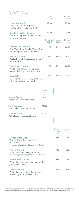## **COCKTAILS**

|                                                                                                     | Glass<br>300ml<br>€    |                     | Pitcher<br>1000ml<br>€ |
|-----------------------------------------------------------------------------------------------------|------------------------|---------------------|------------------------|
| Fresh Sangria <sup>6</sup><br>a delicious secret recipe that<br>creates a truly refreshing drink    | 10.00                  |                     | 25.00                  |
| <b>Sparkling White Sangria</b><br>a bubbly sangria loaded with tons<br>of fruity goodness           | 10.00                  |                     | 25.00                  |
|                                                                                                     | Standard<br>250ml<br>€ | Large<br>500ml<br>€ | Pitcher<br>1000ml<br>€ |
| Long Island Iced Tea<br>Gin, White Rum, Tequila, Vodka, Triple<br>Sec, lime juice, topped with cola | 9.50                   | 16.00               | 26.00                  |
| Sex on the Beach<br>Vodka, Peach Schnapps, cranberry &<br>orange juice                              | 9.50                   | 16.00               | 26.00                  |
| <b>Caribbean Dream</b><br>White & Dark Rum, orange juice,<br>pineapple juice, grenadine syrup       | 9.50                   | 16.00               | 26.00                  |
| <b>Angels Kiss</b><br>Gin, Triple Sec, lime juice, cranberry<br>juice, topped with lemonade         | 9.50                   | 16.00               | 26.00                  |

|                                                          | Glass<br>300ml<br>€ |
|----------------------------------------------------------|---------------------|
| <b>Aperol Spritz</b>                                     | 10.00               |
| Aperol, Prosecco, dash of soda                           |                     |
| <b>Summer Spritz</b><br>Limoncello, Prosecco, berries    | 12.00               |
| <b>Maltese Spritz</b><br>Bajtra Liquor, Prosecco, Kinnie | 12.00               |
|                                                          |                     |

|                                                                                                                           | Standard<br>250ml<br>€ | Large<br>500ml<br>€ |
|---------------------------------------------------------------------------------------------------------------------------|------------------------|---------------------|
| <b>Frozen Margarita</b><br>Tequila, Triple Sec, lime juice,<br>fruit purée<br>Strawberry, Raspberry, Passion Fruit, Peach | 9.50                   | 16.00               |
| <b>Frozen Daiquiris</b><br>White Rum, lime juice, fruit purée<br>Strawberry, Raspberry, Passion Fruit, Peach              | 9.50                   | 16.00               |
| Frozen Piña Colada<br>White Rum, coconut syrup, pineapple<br>juice, fresh cream                                           | 9.50                   | 16.00               |
| <b>Classic Mojito</b><br>White Rum, fresh mint, lime wedges<br>brown sugar, topped with soda                              | 9.50                   | 16.00               |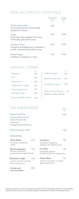## NON-ALCOHOLIC COCKTAILS

|                                                                                                | Standard<br>250ml<br>€ | Large<br>500ml<br>€ |
|------------------------------------------------------------------------------------------------|------------------------|---------------------|
| <b>Fresh Lemonade</b><br>the perfect summer drink freshly<br>prepared in-house                 | 8.00                   |                     |
| <b>Floky</b><br>fresh mint, lime wedges, lime juice,<br>lemonade, grenadine syrup              | 5.50                   | 10.00               |
| <b>Summer Time</b><br>orange & pineapple juice, strawberry<br>purée, coconut & grenadine syrup | 5.50                   | 10.00               |
| <b>Slush Puppy</b><br>strawberry, raspberry or lime                                            | 5.50                   | 10.00               |

### BARISTA CORNER

| <b>Espresso</b>            | €<br>3.00 |
|----------------------------|-----------|
| Tea                        | 3.50      |
| Americano                  | 3.50      |
| Cappuccino / Latte         | 3.75      |
| <b>Cold Cappuccino</b>     | 3.75      |
| <b>Hot Chocolate</b>       | 4.00      |
| <b>Frozen Coffee Cream</b> | 7.00      |

| Coffee Frappé          | €    |
|------------------------|------|
|                        | 4.00 |
| Matcha Green Tea       | 5.00 |
| Cookies & Cream        | 5.00 |
|                        |      |
| add a shot of flavour: | 1.0  |

hazelnut, vanilla, caramel

250ml €

# THE ENERGISERS

| <b>Detox Iced Tea</b><br>6.50 |
|-------------------------------|
|                               |

Goji-berry & Green tea Lemon & Green tea Acai-berry Pomegranate & Green tea

### **Fresh Orange Juice** 7.00

#### **Smoothies**

| <b>Thick Shake</b><br>chocolate, strawberry<br>vanilla                               | 6.25 | <b>Just Berry</b><br>strawberry, blueberry,<br>raspberry & cranberry juice        | 7.25 |  |
|--------------------------------------------------------------------------------------|------|-----------------------------------------------------------------------------------|------|--|
| 7.25<br><b>Morning Booster</b><br>banana, strawberry,<br>peanut butter & almond milk |      | <b>Fruit Mix</b><br>7.25<br>pineapple, banana,<br>strawberry & fresh orange juice |      |  |
| <b>Backyard Jungle</b><br>carrots, avocado, banana,<br>fresh orange juice            | 7.25 | <b>Green Mash</b><br>spinach, cucumber, avocado,<br>green apple juice             | 7.25 |  |
| Create your<br>own Smoothie                                                          | 8.00 |                                                                                   |      |  |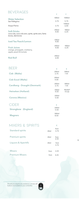| <b>BEVERAGES</b>                                                                                   |               |                  |
|----------------------------------------------------------------------------------------------------|---------------|------------------|
|                                                                                                    | €             | €                |
| <b>Water Selection</b>                                                                             | 500ml         | 1000ml           |
| San Pellegrino                                                                                     | 3.75          | 5.75             |
| Acqua Panna                                                                                        | 3.75          | 1500ml<br>6.00   |
|                                                                                                    | 250ml         | 500ml            |
| <b>Soft Drinks</b><br>coca cola, coca cola zero, sprite, sprite zero, fanta<br>kinnie, diet kinnie | 4.00          | 6.25             |
|                                                                                                    | 330ml         |                  |
| Iced Tea Peach/Lemon                                                                               | 4.00          |                  |
|                                                                                                    | 250ml         | 500ml            |
| <b>Fruit Juices</b><br>orange, pineapple, cranberry,                                               | 4.00          | 6.25             |
| apple, peach & tomato                                                                              |               |                  |
|                                                                                                    | 250ml         |                  |
| <b>Red Bull</b>                                                                                    | 6.00          |                  |
|                                                                                                    |               |                  |
| BEER                                                                                               | €             | €                |
|                                                                                                    | 250ml         | 500ml            |
| Cisk (Malta)                                                                                       | 3.75          | 7.00             |
|                                                                                                    | 250ml         |                  |
| <b>Cisk Excel (Malta)</b>                                                                          | 4.00          |                  |
| <b>Carsiberg - Draught (Denmark)</b>                                                               | 250ml<br>3.75 | 500ml<br>7.00    |
|                                                                                                    |               |                  |
| Heineken (Holland)                                                                                 | 330ml<br>4.50 | Bucket*<br>19.50 |
|                                                                                                    | 330ml         |                  |
| Corona (Mexico)                                                                                    | 5.50          |                  |

 $C\text{IDER}$ **Strongbow (England) 330ml**  5.50 **Magners 500ml**  8.50

## MIXERS & SPIRITS  $\epsilon$

| <b>Standard spirits</b>        | 20ml             | from<br>3.75 |
|--------------------------------|------------------|--------------|
| <b>Premium spirits</b>         | 20 <sub>ml</sub> | from<br>6.50 |
| <b>Liquors &amp; Aperitifs</b> | 20ml             | from<br>3.75 |
| <b>Mixers</b>                  | from             | 2.25         |
| <b>Premium Mixers</b>          | from             | 4.25         |

8.00

Should you require any assistance, service call buttons are located on your umbrellas